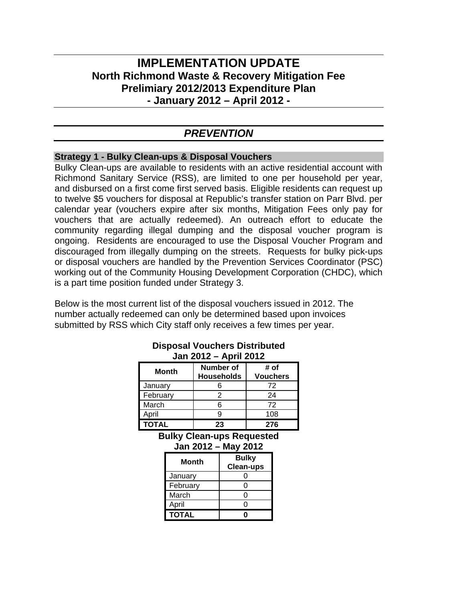# **IMPLEMENTATION UPDATE North Richmond Waste & Recovery Mitigation Fee Prelimiary 2012/2013 Expenditure Plan - January 2012 – April 2012 -**

## *PREVENTION*

### **Strategy 1 - Bulky Clean-ups & Disposal Vouchers**

Bulky Clean-ups are available to residents with an active residential account with Richmond Sanitary Service (RSS), are limited to one per household per year, and disbursed on a first come first served basis. Eligible residents can request up to twelve \$5 vouchers for disposal at Republic's transfer station on Parr Blvd. per calendar year (vouchers expire after six months, Mitigation Fees only pay for vouchers that are actually redeemed). An outreach effort to educate the community regarding illegal dumping and the disposal voucher program is ongoing. Residents are encouraged to use the Disposal Voucher Program and discouraged from illegally dumping on the streets. Requests for bulky pick-ups or disposal vouchers are handled by the Prevention Services Coordinator (PSC) working out of the Community Housing Development Corporation (CHDC), which is a part time position funded under Strategy 3.

Below is the most current list of the disposal vouchers issued in 2012. The number actually redeemed can only be determined based upon invoices submitted by RSS which City staff only receives a few times per year.

| UGH LU IL<br>AMII LVIL |                                |                         |
|------------------------|--------------------------------|-------------------------|
| Month                  | Number of<br><b>Households</b> | # of<br><b>Vouchers</b> |
| January                | 6                              | 72                      |
| February               | 2                              | 24                      |
| March                  | հ                              | 72                      |
| April                  |                                | 108                     |
| <b>TOTAL</b>           | 23                             | 276                     |

#### **Disposal Vouchers Distributed Jan 2012 – April 2012**

**Bulky Clean-ups Requested Jan 2012 – May 2012**

| Month        | <b>Bulky</b>     |
|--------------|------------------|
|              | <b>Clean-ups</b> |
| January      |                  |
| February     |                  |
| March        | U                |
| April        | O                |
| <b>TOTAL</b> |                  |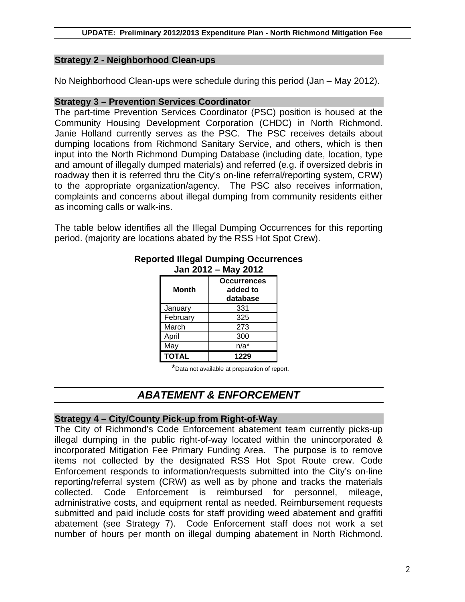## **Strategy 2 - Neighborhood Clean-ups**

No Neighborhood Clean-ups were schedule during this period (Jan – May 2012).

## **Strategy 3 – Prevention Services Coordinator**

The part-time Prevention Services Coordinator (PSC) position is housed at the Community Housing Development Corporation (CHDC) in North Richmond. Janie Holland currently serves as the PSC. The PSC receives details about dumping locations from Richmond Sanitary Service, and others, which is then input into the North Richmond Dumping Database (including date, location, type and amount of illegally dumped materials) and referred (e.g. if oversized debris in roadway then it is referred thru the City's on-line referral/reporting system, CRW) to the appropriate organization/agency. The PSC also receives information, complaints and concerns about illegal dumping from community residents either as incoming calls or walk-ins.

The table below identifies all the Illegal Dumping Occurrences for this reporting period. (majority are locations abated by the RSS Hot Spot Crew).

|              | -- - -                                     |
|--------------|--------------------------------------------|
| <b>Month</b> | <b>Occurrences</b><br>added to<br>database |
| January      | 331                                        |
| February     | 325                                        |
| March        | 273                                        |
| April        | 300                                        |
| May          | $n/a^*$                                    |
| <b>TOTAL</b> | 1229                                       |

#### **Reported Illegal Dumping Occurrences Jan 2012 – May 2012**

\*Data not available at preparation of report.

# *ABATEMENT & ENFORCEMENT*

## **Strategy 4 – City/County Pick-up from Right-of-Way**

The City of Richmond's Code Enforcement abatement team currently picks-up illegal dumping in the public right-of-way located within the unincorporated & incorporated Mitigation Fee Primary Funding Area. The purpose is to remove items not collected by the designated RSS Hot Spot Route crew. Code Enforcement responds to information/requests submitted into the City's on-line reporting/referral system (CRW) as well as by phone and tracks the materials collected. Code Enforcement is reimbursed for personnel, mileage, administrative costs, and equipment rental as needed. Reimbursement requests submitted and paid include costs for staff providing weed abatement and graffiti abatement (see Strategy 7). Code Enforcement staff does not work a set number of hours per month on illegal dumping abatement in North Richmond.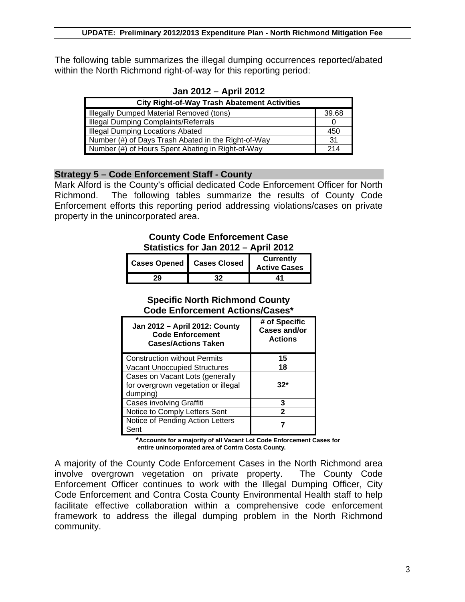The following table summarizes the illegal dumping occurrences reported/abated within the North Richmond right-of-way for this reporting period:

| <b>City Right-of-Way Trash Abatement Activities</b> |       |  |
|-----------------------------------------------------|-------|--|
| Illegally Dumped Material Removed (tons)            | 39.68 |  |
| <b>Illegal Dumping Complaints/Referrals</b>         |       |  |
| <b>Illegal Dumping Locations Abated</b>             |       |  |
| Number (#) of Days Trash Abated in the Right-of-Way |       |  |
| Number (#) of Hours Spent Abating in Right-of-Way   |       |  |

**Jan 2012 – April 2012**

## **Strategy 5 – Code Enforcement Staff - County**

Mark Alford is the County's official dedicated Code Enforcement Officer for North Richmond. The following tables summarize the results of County Code Enforcement efforts this reporting period addressing violations/cases on private property in the unincorporated area.

## **County Code Enforcement Case Statistics for Jan 2012 – April 2012**

| <b>Cases Opened   Cases Closed</b> |    | Currently<br><b>Active Cases</b> |
|------------------------------------|----|----------------------------------|
|                                    | 32 | 41                               |

### **Specific North Richmond County Code Enforcement Actions/Cases\***

| Jan 2012 - April 2012: County<br><b>Code Enforcement</b><br><b>Cases/Actions Taken</b> | # of Specific<br><b>Cases and/or</b><br><b>Actions</b> |
|----------------------------------------------------------------------------------------|--------------------------------------------------------|
| <b>Construction without Permits</b>                                                    | 15                                                     |
| <b>Vacant Unoccupied Structures</b>                                                    | 18                                                     |
| Cases on Vacant Lots (generally<br>for overgrown vegetation or illegal<br>dumping)     | $32*$                                                  |
| Cases involving Graffiti                                                               | 3                                                      |
| Notice to Comply Letters Sent                                                          | 2                                                      |
| Notice of Pending Action Letters<br>Sent                                               |                                                        |

 **\*Accounts for a majority of all Vacant Lot Code Enforcement Cases for entire unincorporated area of Contra Costa County.** 

A majority of the County Code Enforcement Cases in the North Richmond area involve overgrown vegetation on private property. The County Code Enforcement Officer continues to work with the Illegal Dumping Officer, City Code Enforcement and Contra Costa County Environmental Health staff to help facilitate effective collaboration within a comprehensive code enforcement framework to address the illegal dumping problem in the North Richmond community.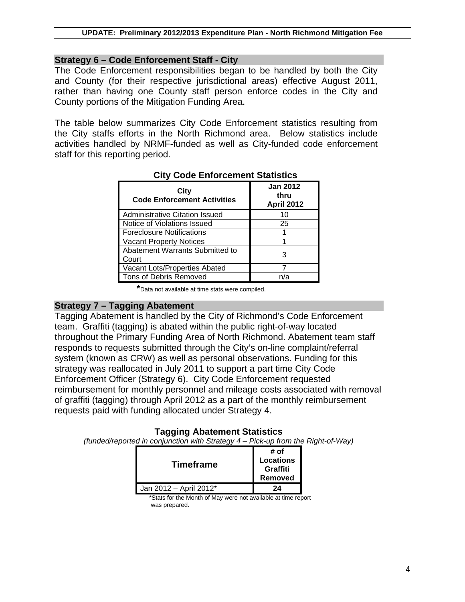## **Strategy 6 – Code Enforcement Staff - City**

The Code Enforcement responsibilities began to be handled by both the City and County (for their respective jurisdictional areas) effective August 2011, rather than having one County staff person enforce codes in the City and County portions of the Mitigation Funding Area.

The table below summarizes City Code Enforcement statistics resulting from the City staffs efforts in the North Richmond area. Below statistics include activities handled by NRMF-funded as well as City-funded code enforcement staff for this reporting period.

| City<br><b>Code Enforcement Activities</b> | <b>Jan 2012</b><br>thru<br><b>April 2012</b> |
|--------------------------------------------|----------------------------------------------|
| <b>Administrative Citation Issued</b>      | 10                                           |
| Notice of Violations Issued                | 25                                           |
| <b>Foreclosure Notifications</b>           |                                              |
| <b>Vacant Property Notices</b>             |                                              |
| Abatement Warrants Submitted to<br>Court   | з                                            |
| Vacant Lots/Properties Abated              |                                              |
| Tons of Debris Removed                     |                                              |

## **City Code Enforcement Statistics**

**\***Data not available at time stats were compiled.

## **Strategy 7 – Tagging Abatement**

Tagging Abatement is handled by the City of Richmond's Code Enforcement team. Graffiti (tagging) is abated within the public right-of-way located throughout the Primary Funding Area of North Richmond. Abatement team staff responds to requests submitted through the City's on-line complaint/referral system (known as CRW) as well as personal observations. Funding for this strategy was reallocated in July 2011 to support a part time City Code Enforcement Officer (Strategy 6). City Code Enforcement requested reimbursement for monthly personnel and mileage costs associated with removal of graffiti (tagging) through April 2012 as a part of the monthly reimbursement requests paid with funding allocated under Strategy 4.

## **Tagging Abatement Statistics**

*(funded/reported in conjunction with Strategy 4 – Pick-up from the Right-of-Way)*

| <b>Timeframe</b>                                              | # of<br><b>Locations</b><br>Graffiti<br>Removed |  |
|---------------------------------------------------------------|-------------------------------------------------|--|
| Jan 2012 - April 2012*                                        | 24                                              |  |
| *Stats for the Month of May were not available at time report |                                                 |  |

was prepared.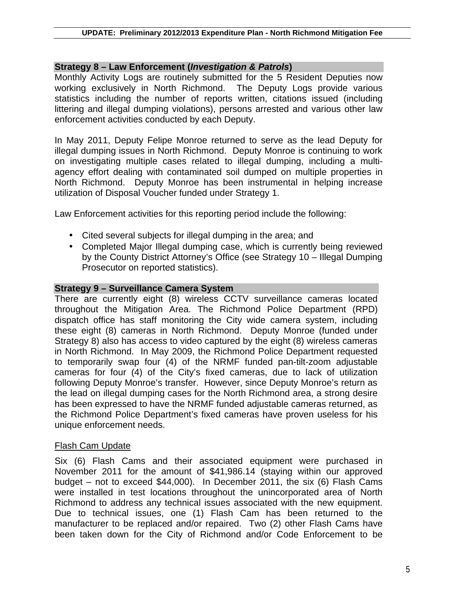### **Strategy 8 – Law Enforcement (***Investigation & Patrols***)**

Monthly Activity Logs are routinely submitted for the 5 Resident Deputies now working exclusively in North Richmond. The Deputy Logs provide various statistics including the number of reports written, citations issued (including littering and illegal dumping violations), persons arrested and various other law enforcement activities conducted by each Deputy.

In May 2011, Deputy Felipe Monroe returned to serve as the lead Deputy for illegal dumping issues in North Richmond. Deputy Monroe is continuing to work on investigating multiple cases related to illegal dumping, including a multiagency effort dealing with contaminated soil dumped on multiple properties in North Richmond. Deputy Monroe has been instrumental in helping increase utilization of Disposal Voucher funded under Strategy 1.

Law Enforcement activities for this reporting period include the following:

- Cited several subjects for illegal dumping in the area; and
- Completed Major Illegal dumping case, which is currently being reviewed by the County District Attorney's Office (see Strategy 10 – Illegal Dumping Prosecutor on reported statistics).

#### **Strategy 9 – Surveillance Camera System**

There are currently eight (8) wireless CCTV surveillance cameras located throughout the Mitigation Area. The Richmond Police Department (RPD) dispatch office has staff monitoring the City wide camera system, including these eight (8) cameras in North Richmond. Deputy Monroe (funded under Strategy 8) also has access to video captured by the eight (8) wireless cameras in North Richmond. In May 2009, the Richmond Police Department requested to temporarily swap four (4) of the NRMF funded pan-tilt-zoom adjustable cameras for four (4) of the City's fixed cameras, due to lack of utilization following Deputy Monroe's transfer. However, since Deputy Monroe's return as the lead on illegal dumping cases for the North Richmond area, a strong desire has been expressed to have the NRMF funded adjustable cameras returned, as the Richmond Police Department's fixed cameras have proven useless for his unique enforcement needs.

#### Flash Cam Update

Six (6) Flash Cams and their associated equipment were purchased in November 2011 for the amount of \$41,986.14 (staying within our approved budget – not to exceed \$44,000). In December 2011, the six (6) Flash Cams were installed in test locations throughout the unincorporated area of North Richmond to address any technical issues associated with the new equipment. Due to technical issues, one (1) Flash Cam has been returned to the manufacturer to be replaced and/or repaired. Two (2) other Flash Cams have been taken down for the City of Richmond and/or Code Enforcement to be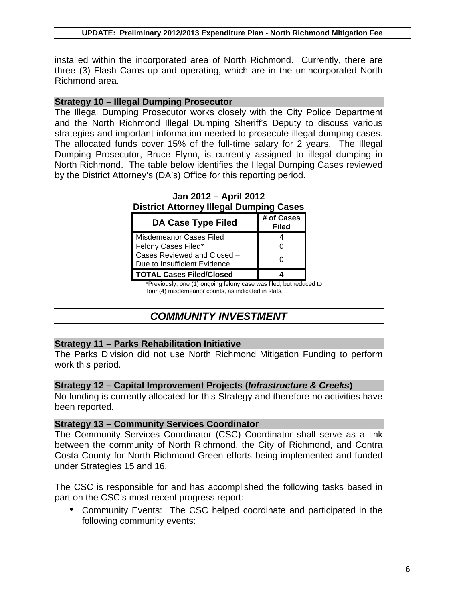installed within the incorporated area of North Richmond. Currently, there are three (3) Flash Cams up and operating, which are in the unincorporated North Richmond area.

#### **Strategy 10 – Illegal Dumping Prosecutor**

The Illegal Dumping Prosecutor works closely with the City Police Department and the North Richmond Illegal Dumping Sheriff's Deputy to discuss various strategies and important information needed to prosecute illegal dumping cases. The allocated funds cover 15% of the full-time salary for 2 years. The Illegal Dumping Prosecutor, Bruce Flynn, is currently assigned to illegal dumping in North Richmond. The table below identifies the Illegal Dumping Cases reviewed by the District Attorney's (DA's) Office for this reporting period.

| Prothot Attorney megar Paniphig                             |                            |
|-------------------------------------------------------------|----------------------------|
| <b>DA Case Type Filed</b>                                   | # of Cases<br><b>Filed</b> |
| Misdemeanor Cases Filed                                     |                            |
| Felony Cases Filed*                                         |                            |
| Cases Reviewed and Closed -<br>Due to Insufficient Evidence |                            |
| <b>TOTAL Cases Filed/Closed</b>                             |                            |

**Jan 2012 – April 2012 District Attorney Illegal Dumping Cases**

 \*Previously, one (1) ongoing felony case was filed, but reduced to four (4) misdemeanor counts, as indicated in stats.

## *COMMUNITY INVESTMENT*

#### **Strategy 11 – Parks Rehabilitation Initiative**

The Parks Division did not use North Richmond Mitigation Funding to perform work this period.

#### **Strategy 12 – Capital Improvement Projects (***Infrastructure & Creeks***)**

No funding is currently allocated for this Strategy and therefore no activities have been reported.

#### **Strategy 13 – Community Services Coordinator**

The Community Services Coordinator (CSC) Coordinator shall serve as a link between the community of North Richmond, the City of Richmond, and Contra Costa County for North Richmond Green efforts being implemented and funded under Strategies 15 and 16.

The CSC is responsible for and has accomplished the following tasks based in part on the CSC's most recent progress report:

• Community Events: The CSC helped coordinate and participated in the following community events: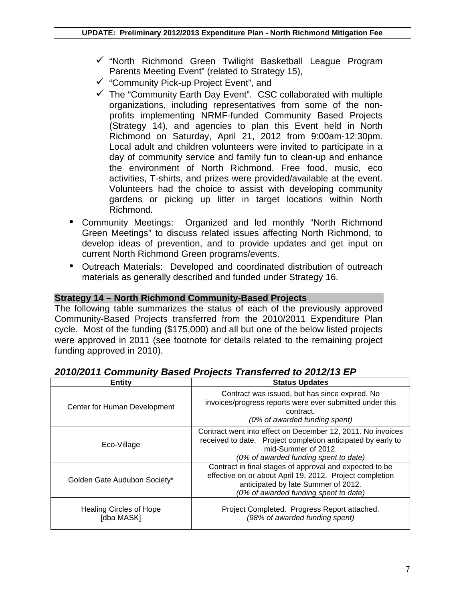- $\checkmark$  "North Richmond Green Twilight Basketball League Program Parents Meeting Event" (related to Strategy 15),
- $\checkmark$  "Community Pick-up Project Event", and
- $\checkmark$  The "Community Earth Day Event". CSC collaborated with multiple organizations, including representatives from some of the nonprofits implementing NRMF-funded Community Based Projects (Strategy 14), and agencies to plan this Event held in North Richmond on Saturday, April 21, 2012 from 9:00am-12:30pm. Local adult and children volunteers were invited to participate in a day of community service and family fun to clean-up and enhance the environment of North Richmond. Free food, music, eco activities, T-shirts, and prizes were provided/available at the event. Volunteers had the choice to assist with developing community gardens or picking up litter in target locations within North Richmond.
- Community Meetings: Organized and led monthly "North Richmond Green Meetings" to discuss related issues affecting North Richmond, to develop ideas of prevention, and to provide updates and get input on current North Richmond Green programs/events.
- Outreach Materials: Developed and coordinated distribution of outreach materials as generally described and funded under Strategy 16.

## **Strategy 14 – North Richmond Community-Based Projects**

The following table summarizes the status of each of the previously approved Community-Based Projects transferred from the 2010/2011 Expenditure Plan cycle. Most of the funding (\$175,000) and all but one of the below listed projects were approved in 2011 (see footnote for details related to the remaining project funding approved in 2010).

| Entity                                       | <b>Status Updates</b>                                                                                                                                                                               |
|----------------------------------------------|-----------------------------------------------------------------------------------------------------------------------------------------------------------------------------------------------------|
| Center for Human Development                 | Contract was issued, but has since expired. No<br>invoices/progress reports were ever submitted under this<br>contract.<br>(0% of awarded funding spent)                                            |
| Eco-Village                                  | Contract went into effect on December 12, 2011. No invoices<br>received to date. Project completion anticipated by early to<br>mid-Summer of 2012.<br>(0% of awarded funding spent to date)         |
| Golden Gate Audubon Society*                 | Contract in final stages of approval and expected to be<br>effective on or about April 19, 2012. Project completion<br>anticipated by late Summer of 2012.<br>(0% of awarded funding spent to date) |
| <b>Healing Circles of Hope</b><br>[dba MASK] | Project Completed. Progress Report attached.<br>(98% of awarded funding spent)                                                                                                                      |

## *2010/2011 Community Based Projects Transferred to 2012/13 EP*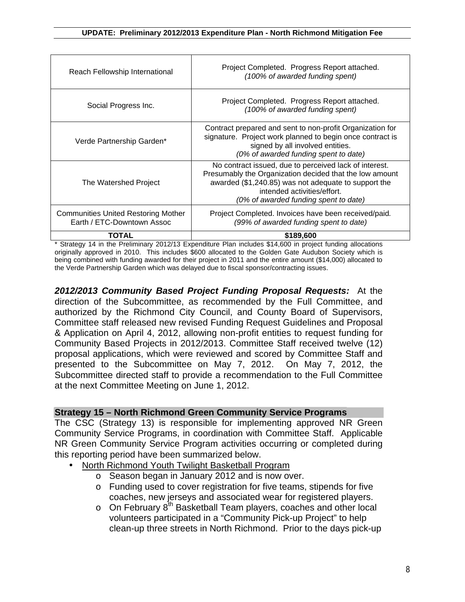| Reach Fellowship International                                           | Project Completed. Progress Report attached.<br>(100% of awarded funding spent)                                                                                                                                                                   |
|--------------------------------------------------------------------------|---------------------------------------------------------------------------------------------------------------------------------------------------------------------------------------------------------------------------------------------------|
| Social Progress Inc.                                                     | Project Completed. Progress Report attached.<br>(100% of awarded funding spent)                                                                                                                                                                   |
| Verde Partnership Garden*                                                | Contract prepared and sent to non-profit Organization for<br>signature. Project work planned to begin once contract is<br>signed by all involved entities.<br>(0% of awarded funding spent to date)                                               |
| The Watershed Project                                                    | No contract issued, due to perceived lack of interest.<br>Presumably the Organization decided that the low amount<br>awarded (\$1,240.85) was not adequate to support the<br>intended activities/effort.<br>(0% of awarded funding spent to date) |
| <b>Communities United Restoring Mother</b><br>Earth / ETC-Downtown Assoc | Project Completed. Invoices have been received/paid.<br>(99% of awarded funding spent to date)                                                                                                                                                    |
| ΤΟΤΑΙ                                                                    | \$189,600                                                                                                                                                                                                                                         |

\* Strategy 14 in the Preliminary 2012/13 Expenditure Plan includes \$14,600 in project funding allocations originally approved in 2010. This includes \$600 allocated to the Golden Gate Audubon Society which is being combined with funding awarded for their project in 2011 and the entire amount (\$14,000) allocated to the Verde Partnership Garden which was delayed due to fiscal sponsor/contracting issues.

*2012/2013 Community Based Project Funding Proposal Requests:*At the direction of the Subcommittee, as recommended by the Full Committee, and authorized by the Richmond City Council, and County Board of Supervisors, Committee staff released new revised Funding Request Guidelines and Proposal & Application on April 4, 2012, allowing non-profit entities to request funding for Community Based Projects in 2012/2013. Committee Staff received twelve (12) proposal applications, which were reviewed and scored by Committee Staff and presented to the Subcommittee on May 7, 2012. On May 7, 2012, the Subcommittee directed staff to provide a recommendation to the Full Committee at the next Committee Meeting on June 1, 2012.

#### **Strategy 15 – North Richmond Green Community Service Programs**

The CSC (Strategy 13) is responsible for implementing approved NR Green Community Service Programs, in coordination with Committee Staff. Applicable NR Green Community Service Program activities occurring or completed during this reporting period have been summarized below.

- North Richmond Youth Twilight Basketball Program
	- o Season began in January 2012 and is now over.
	- o Funding used to cover registration for five teams, stipends for five coaches, new jerseys and associated wear for registered players.
	- $\circ$  On February  $8<sup>th</sup>$  Basketball Team players, coaches and other local volunteers participated in a "Community Pick-up Project" to help clean-up three streets in North Richmond. Prior to the days pick-up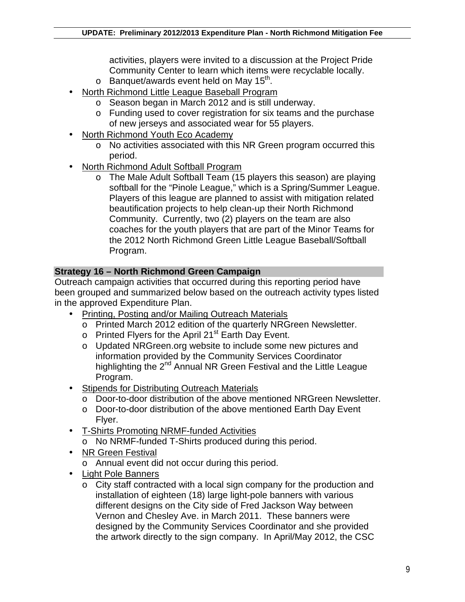activities, players were invited to a discussion at the Project Pride Community Center to learn which items were recyclable locally.

- $\circ$  Banquet/awards event held on May 15<sup>th</sup>.
- North Richmond Little League Baseball Program
	- o Season began in March 2012 and is still underway.
	- o Funding used to cover registration for six teams and the purchase of new jerseys and associated wear for 55 players.
- North Richmond Youth Eco Academy
	- o No activities associated with this NR Green program occurred this period.
- North Richmond Adult Softball Program
	- o The Male Adult Softball Team (15 players this season) are playing softball for the "Pinole League," which is a Spring/Summer League. Players of this league are planned to assist with mitigation related beautification projects to help clean-up their North Richmond Community. Currently, two (2) players on the team are also coaches for the youth players that are part of the Minor Teams for the 2012 North Richmond Green Little League Baseball/Softball Program.

## **Strategy 16 – North Richmond Green Campaign**

Outreach campaign activities that occurred during this reporting period have been grouped and summarized below based on the outreach activity types listed in the approved Expenditure Plan.

- Printing, Posting and/or Mailing Outreach Materials
	- o Printed March 2012 edition of the quarterly NRGreen Newsletter.
	- $\circ$  Printed Flyers for the April 21<sup>st</sup> Earth Day Event.
	- o Updated NRGreen.org website to include some new pictures and information provided by the Community Services Coordinator highlighting the 2<sup>nd</sup> Annual NR Green Festival and the Little League Program.
- Stipends for Distributing Outreach Materials
	- o Door-to-door distribution of the above mentioned NRGreen Newsletter.
	- o Door-to-door distribution of the above mentioned Earth Day Event Flyer.
- T-Shirts Promoting NRMF-funded Activities
	- o No NRMF-funded T-Shirts produced during this period.
- NR Green Festival
	- o Annual event did not occur during this period.
- Light Pole Banners
	- o City staff contracted with a local sign company for the production and installation of eighteen (18) large light-pole banners with various different designs on the City side of Fred Jackson Way between Vernon and Chesley Ave. in March 2011. These banners were designed by the Community Services Coordinator and she provided the artwork directly to the sign company. In April/May 2012, the CSC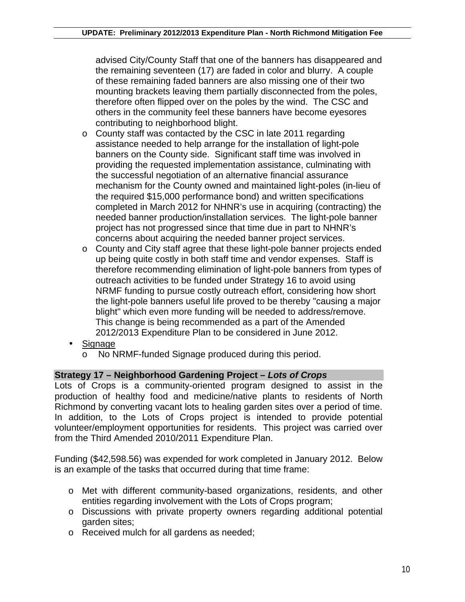advised City/County Staff that one of the banners has disappeared and the remaining seventeen (17) are faded in color and blurry. A couple of these remaining faded banners are also missing one of their two mounting brackets leaving them partially disconnected from the poles, therefore often flipped over on the poles by the wind. The CSC and others in the community feel these banners have become eyesores contributing to neighborhood blight.

- o County staff was contacted by the CSC in late 2011 regarding assistance needed to help arrange for the installation of light-pole banners on the County side. Significant staff time was involved in providing the requested implementation assistance, culminating with the successful negotiation of an alternative financial assurance mechanism for the County owned and maintained light-poles (in-lieu of the required \$15,000 performance bond) and written specifications completed in March 2012 for NHNR's use in acquiring (contracting) the needed banner production/installation services. The light-pole banner project has not progressed since that time due in part to NHNR's concerns about acquiring the needed banner project services.
- o County and City staff agree that these light-pole banner projects ended up being quite costly in both staff time and vendor expenses. Staff is therefore recommending elimination of light-pole banners from types of outreach activities to be funded under Strategy 16 to avoid using NRMF funding to pursue costly outreach effort, considering how short the light-pole banners useful life proved to be thereby "causing a major blight" which even more funding will be needed to address/remove. This change is being recommended as a part of the Amended 2012/2013 Expenditure Plan to be considered in June 2012.
- Signage
	- o No NRMF-funded Signage produced during this period.

## **Strategy 17 – Neighborhood Gardening Project –** *Lots of Crops*

Lots of Crops is a community-oriented program designed to assist in the production of healthy food and medicine/native plants to residents of North Richmond by converting vacant lots to healing garden sites over a period of time. In addition, to the Lots of Crops project is intended to provide potential volunteer/employment opportunities for residents. This project was carried over from the Third Amended 2010/2011 Expenditure Plan.

Funding (\$42,598.56) was expended for work completed in January 2012. Below is an example of the tasks that occurred during that time frame:

- o Met with different community-based organizations, residents, and other entities regarding involvement with the Lots of Crops program;
- o Discussions with private property owners regarding additional potential garden sites;
- o Received mulch for all gardens as needed;